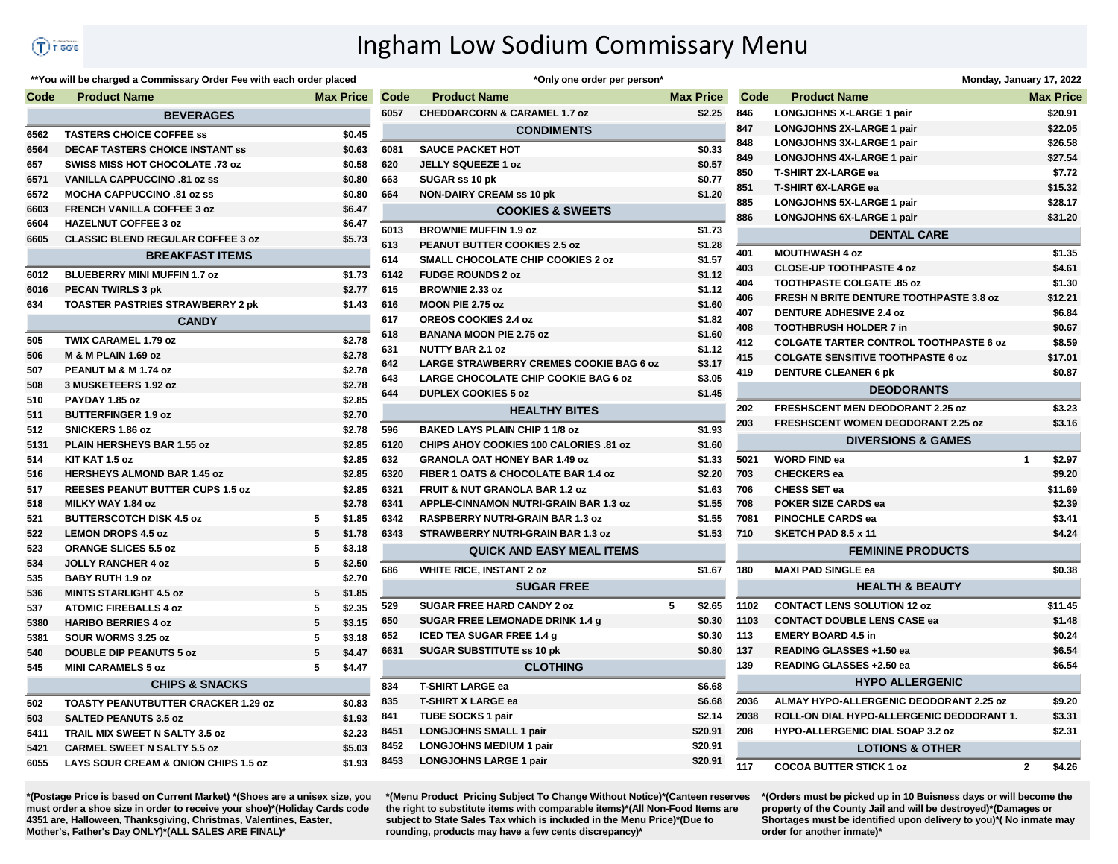## Ingham Low Sodium Commissary Menu

## \*\* You will be charged a Commissary Order Fee with each order placed

| Code | <b>Product Name</b>                             |   | <b>Max Price</b> |
|------|-------------------------------------------------|---|------------------|
|      | <b>BEVERAGES</b>                                |   |                  |
| 6562 | <b>TASTERS CHOICE COFFEE ss</b>                 |   | \$0.45           |
| 6564 | <b>DECAF TASTERS CHOICE INSTANT SS</b>          |   | \$0.63           |
| 657  | SWISS MISS HOT CHOCOLATE .73 oz                 |   | \$0.58           |
| 6571 | <b>VANILLA CAPPUCCINO .81 oz ss</b>             |   | \$0.80           |
| 6572 | <b>MOCHA CAPPUCCINO .81 oz ss</b>               |   | \$0.80           |
| 6603 | <b>FRENCH VANILLA COFFEE 3 oz</b>               |   | \$6.47           |
| 6604 | <b>HAZELNUT COFFEE 3 oz</b>                     |   | \$6.47           |
| 6605 | <b>CLASSIC BLEND REGULAR COFFEE 3 oz</b>        |   | \$5.73           |
|      | <b>BREAKFAST ITEMS</b>                          |   |                  |
| 6012 | <b>BLUEBERRY MINI MUFFIN 1.7 oz</b>             |   | \$1.73           |
| 6016 | <b>PECAN TWIRLS 3 pk</b>                        |   | \$2.77           |
| 634  | <b>TOASTER PASTRIES STRAWBERRY 2 pk</b>         |   | \$1.43           |
|      | <b>CANDY</b>                                    |   |                  |
| 505  | <b>TWIX CARAMEL 1.79 oz</b>                     |   | \$2.78           |
| 506  | M & M PLAIN 1.69 oz                             |   | \$2.78           |
| 507  | PEANUT M & M 1.74 oz                            |   | \$2.78           |
| 508  | 3 MUSKETEERS 1.92 oz                            |   | \$2.78           |
| 510  | PAYDAY 1.85 oz                                  |   | \$2.85           |
| 511  | <b>BUTTERFINGER 1.9 oz</b>                      |   | \$2.70           |
| 512  | SNICKERS 1.86 oz                                |   | \$2.78           |
| 5131 | PLAIN HERSHEYS BAR 1.55 oz                      |   | \$2.85           |
| 514  | KIT KAT 1.5 oz                                  |   | \$2.85           |
| 516  | <b>HERSHEYS ALMOND BAR 1.45 oz</b>              |   | \$2.85           |
| 517  | <b>REESES PEANUT BUTTER CUPS 1.5 oz</b>         |   | \$2.85           |
| 518  | MILKY WAY 1.84 oz                               |   | \$2.78           |
| 521  | <b>BUTTERSCOTCH DISK 4.5 oz</b>                 | 5 | \$1.85           |
| 522  | <b>LEMON DROPS 4.5 oz</b>                       | 5 | \$1.78           |
| 523  | <b>ORANGE SLICES 5.5 oz</b>                     | 5 | \$3.18           |
| 534  | <b>JOLLY RANCHER 4 oz</b>                       | 5 | \$2.50           |
| 535  | <b>BABY RUTH 1.9 oz</b>                         |   | \$2.70           |
| 536  | <b>MINTS STARLIGHT 4.5 oz</b>                   | 5 | \$1.85           |
| 537  | <b>ATOMIC FIREBALLS 4 oz</b>                    | 5 | \$2.35           |
| 5380 | <b>HARIBO BERRIES 4 oz</b>                      | 5 | \$3.15           |
| 5381 | SOUR WORMS 3.25 oz                              | 5 | \$3.18           |
| 540  | <b>DOUBLE DIP PEANUTS 5 oz</b>                  | 5 | \$4.47           |
| 545  | <b>MINI CARAMELS 5 oz</b>                       | 5 | \$4.47           |
|      | <b>CHIPS &amp; SNACKS</b>                       |   |                  |
| 502  | <b>TOASTY PEANUTBUTTER CRACKER 1.29 oz</b>      |   | \$0.83           |
| 503  | <b>SALTED PEANUTS 3.5 oz</b>                    |   | \$1.93           |
| 5411 | TRAIL MIX SWEET N SALTY 3.5 oz                  |   | \$2.23           |
| 5421 | <b>CARMEL SWEET N SALTY 5.5 oz</b>              |   | \$5.03           |
| 6055 | <b>LAYS SOUR CREAM &amp; ONION CHIPS 1.5 oz</b> |   | \$1.93           |

|                 | *Only one order per person*                    |   |                  |  |  |  |  |
|-----------------|------------------------------------------------|---|------------------|--|--|--|--|
| Code            | <b>Product Name</b>                            |   | <b>Max Price</b> |  |  |  |  |
| 6057            | <b>CHEDDARCORN &amp; CARAMEL 1.7 oz</b>        |   | \$2.25           |  |  |  |  |
|                 | <b>CONDIMENTS</b>                              |   |                  |  |  |  |  |
| 6081            | <b>SAUCE PACKET HOT</b>                        |   | \$0.33           |  |  |  |  |
| 620             | <b>JELLY SQUEEZE 1 oz</b>                      |   | \$0.57           |  |  |  |  |
| 663             | SUGAR ss 10 pk                                 |   | \$0.77           |  |  |  |  |
| 664             | <b>NON-DAIRY CREAM ss 10 pk</b>                |   | \$1.20           |  |  |  |  |
|                 | <b>COOKIES &amp; SWEETS</b>                    |   |                  |  |  |  |  |
| 6013            | <b>BROWNIE MUFFIN 1.9 oz</b>                   |   | \$1.73           |  |  |  |  |
| 613             | PEANUT BUTTER COOKIES 2.5 oz                   |   | \$1.28           |  |  |  |  |
| 614             | <b>SMALL CHOCOLATE CHIP COOKIES 2 oz</b>       |   | \$1.57           |  |  |  |  |
| 6142            | <b>FUDGE ROUNDS 2 oz</b>                       |   | \$1.12           |  |  |  |  |
| 615             | <b>BROWNIE 2.33 oz</b>                         |   | \$1.12           |  |  |  |  |
| 616             | MOON PIE 2.75 oz                               |   | \$1.60           |  |  |  |  |
| 617             | OREOS COOKIES 2.4 oz                           |   | \$1.82           |  |  |  |  |
| 618             | <b>BANANA MOON PIE 2.75 oz</b>                 |   | \$1.60           |  |  |  |  |
| 631             | <b>NUTTY BAR 2.1 oz</b>                        |   | \$1.12           |  |  |  |  |
| 642             | <b>LARGE STRAWBERRY CREMES COOKIE BAG 6 oz</b> |   | \$3.17           |  |  |  |  |
| 643             | LARGE CHOCOLATE CHIP COOKIE BAG 6 oz           |   | \$3.05           |  |  |  |  |
| 644             | <b>DUPLEX COOKIES 5 oz</b>                     |   | \$1.45           |  |  |  |  |
|                 | <b>HEALTHY BITES</b>                           |   |                  |  |  |  |  |
| 596             | <b>BAKED LAYS PLAIN CHIP 1 1/8 oz</b>          |   | \$1.93           |  |  |  |  |
| 6120            | CHIPS AHOY COOKIES 100 CALORIES .81 oz         |   | \$1.60           |  |  |  |  |
| 632             | <b>GRANOLA OAT HONEY BAR 1.49 oz</b>           |   | \$1.33           |  |  |  |  |
| 6320            | FIBER 1 OATS & CHOCOLATE BAR 1.4 oz            |   | \$2.20           |  |  |  |  |
| 6321            | <b>FRUIT &amp; NUT GRANOLA BAR 1.2 oz</b>      |   | \$1.63           |  |  |  |  |
| 6341            | <b>APPLE-CINNAMON NUTRI-GRAIN BAR 1.3 oz</b>   |   | \$1.55           |  |  |  |  |
| 6342            | <b>RASPBERRY NUTRI-GRAIN BAR 1.3 oz</b>        |   | \$1.55           |  |  |  |  |
| 6343            | STRAWBERRY NUTRI-GRAIN BAR 1.3 oz              |   | \$1.53           |  |  |  |  |
|                 | <b>QUICK AND EASY MEAL ITEMS</b>               |   |                  |  |  |  |  |
| 686             | <b>WHITE RICE, INSTANT 2 oz</b>                |   | \$1.67           |  |  |  |  |
|                 | <b>SUGAR FREE</b>                              |   |                  |  |  |  |  |
| 529             | <b>SUGAR FREE HARD CANDY 2 oz</b>              | 5 | \$2.65           |  |  |  |  |
| 650             | SUGAR FREE LEMONADE DRINK 1.4 g                |   | \$0.30           |  |  |  |  |
| 652             | <b>ICED TEA SUGAR FREE 1.4 g</b>               |   | \$0.30           |  |  |  |  |
| 6631            | <b>SUGAR SUBSTITUTE ss 10 pk</b>               |   | \$0.80           |  |  |  |  |
| <b>CLOTHING</b> |                                                |   |                  |  |  |  |  |
| 834             | <b>T-SHIRT LARGE ea</b>                        |   | \$6.68           |  |  |  |  |
| 835             | <b>T-SHIRT X LARGE ea</b>                      |   | \$6.68           |  |  |  |  |
| 841             | <b>TUBE SOCKS 1 pair</b>                       |   | \$2.14           |  |  |  |  |
| 8451            | <b>LONGJOHNS SMALL 1 pair</b>                  |   | \$20.91          |  |  |  |  |
| 8452            | <b>LONGJOHNS MEDIUM 1 pair</b>                 |   | \$20.91          |  |  |  |  |
| 8453            | <b>LONGJOHNS LARGE 1 pair</b>                  |   | \$20.91          |  |  |  |  |
|                 |                                                |   |                  |  |  |  |  |

|                    | Monday, January 17, 2022                       |   |                  |  |  |  |
|--------------------|------------------------------------------------|---|------------------|--|--|--|
| Code               | <b>Product Name</b>                            |   | <b>Max Price</b> |  |  |  |
| 346                | <b>LONGJOHNS X-LARGE 1 pair</b>                |   | \$20.91          |  |  |  |
| 347                | LONGJOHNS 2X-LARGE 1 pair                      |   | \$22.05          |  |  |  |
| 348                | LONGJOHNS 3X-LARGE 1 pair                      |   | \$26.58          |  |  |  |
| 349                | LONGJOHNS 4X-LARGE 1 pair                      |   | \$27.54          |  |  |  |
| 350                | <b>T-SHIRT 2X-LARGE ea</b>                     |   | \$7.72           |  |  |  |
| 351                | <b>T-SHIRT 6X-LARGE ea</b>                     |   | \$15.32          |  |  |  |
| 385                | LONGJOHNS 5X-LARGE 1 pair                      |   | \$28.17          |  |  |  |
| 386                | LONGJOHNS 6X-LARGE 1 pair                      |   | \$31.20          |  |  |  |
| <b>DENTAL CARE</b> |                                                |   |                  |  |  |  |
| 101                | <b>MOUTHWASH 4 oz</b>                          |   | \$1.35           |  |  |  |
| 103                | <b>CLOSE-UP TOOTHPASTE 4 oz</b>                |   | \$4.61           |  |  |  |
| 104                | <b>TOOTHPASTE COLGATE .85 oz</b>               |   | \$1.30           |  |  |  |
| 106                | <b>FRESH N BRITE DENTURE TOOTHPASTE 3.8 oz</b> |   | \$12.21          |  |  |  |
| 107                | <b>DENTURE ADHESIVE 2.4 oz</b>                 |   | \$6.84           |  |  |  |
| 108                | <b>TOOTHBRUSH HOLDER 7 in</b>                  |   | \$0.67           |  |  |  |
| 112                | <b>COLGATE TARTER CONTROL TOOTHPASTE 6 oz</b>  |   | \$8.59           |  |  |  |
| 115                | <b>COLGATE SENSITIVE TOOTHPASTE 6 oz</b>       |   |                  |  |  |  |
| 119                | <b>DENTURE CLEANER 6 pk</b>                    |   | \$0.87           |  |  |  |
|                    | <b>DEODORANTS</b>                              |   |                  |  |  |  |
| 202                | <b>FRESHSCENT MEN DEODORANT 2.25 oz</b>        |   | \$3.23           |  |  |  |
| 203                | FRESHSCENT WOMEN DEODORANT 2.25 oz             |   | \$3.16           |  |  |  |
|                    | <b>DIVERSIONS &amp; GAMES</b>                  |   |                  |  |  |  |
| 5021               | <b>WORD FIND ea</b>                            | 1 | \$2.97           |  |  |  |
| 703                | <b>CHECKERS</b> ea                             |   | \$9.20           |  |  |  |
| 706                | <b>CHESS SET ea</b>                            |   | \$11.69          |  |  |  |
| 708                | <b>POKER SIZE CARDS ea</b>                     |   | \$2.39           |  |  |  |
| 7081               | <b>PINOCHLE CARDS ea</b>                       |   | \$3.41           |  |  |  |
| 710                | SKETCH PAD 8.5 x 11                            |   | \$4.24           |  |  |  |
|                    | <b>FEMININE PRODUCTS</b>                       |   |                  |  |  |  |
| 180                | <b>MAXI PAD SINGLE ea</b>                      |   | \$0.38           |  |  |  |
|                    | <b>HEALTH &amp; BEAUTY</b>                     |   |                  |  |  |  |
| 102                | <b>CONTACT LENS SOLUTION 12 oz</b>             |   | \$11.45          |  |  |  |
| 103                | <b>CONTACT DOUBLE LENS CASE ea</b>             |   | \$1.48           |  |  |  |
| 13                 | <b>EMERY BOARD 4.5 in</b>                      |   | \$0.24           |  |  |  |
| 137                | <b>READING GLASSES +1.50 ea</b>                |   | \$6.54           |  |  |  |
| 139                | READING GLASSES +2.50 ea                       |   | \$6.54           |  |  |  |
|                    | <b>HYPO ALLERGENIC</b>                         |   |                  |  |  |  |
| 2036               | ALMAY HYPO-ALLERGENIC DEODORANT 2.25 oz        |   | \$9.20           |  |  |  |
| 2038               | ROLL-ON DIAL HYPO-ALLERGENIC DEODORANT 1.      |   | \$3.31           |  |  |  |
| 208                | <b>HYPO-ALLERGENIC DIAL SOAP 3.2 oz</b>        |   | \$2.31           |  |  |  |
|                    | <b>LOTIONS &amp; OTHER</b>                     |   |                  |  |  |  |
| 17                 | <b>COCOA BUTTER STICK 1 oz</b>                 | 2 | \$4.26           |  |  |  |

\*(Postage Price is based on Current Market) \*(Shoes are a unisex size, you must order a shoe size in order to receive your shoe)\*(Holiday Cards code 4351 are, Halloween, Thanksgiving, Christmas, Valentines, Easter, Mother's, Father's Day ONLY)\*(ALL SALES ARE FINAL)\*

\*(Menu Product Pricing Subject To Change Without Notice)\*(Canteen reserves the right to substitute items with comparable items)\*(All Non-Food Items are subject to State Sales Tax which is included in the Menu Price)\*(Due to rounding, products may have a few cents discrepancy)\*

\*(Orders must be picked up in 10 Buisness days or will become the property of the County Jail and will be destroyed)\*(Damages or Shortages must be identified upon delivery to you)\*( No inmate may order for another inmate)\*